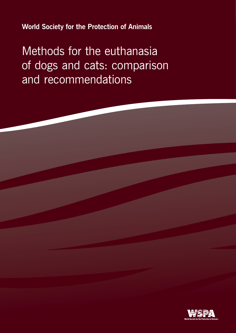**World Society for the Protection of Animals**

Methods for the euthanasia of dogs and cats: comparison and recommendations

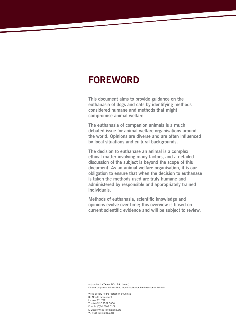## **FOREWORD**

**This document aims to provide guidance on the euthanasia of dogs and cats by identifying methods considered humane and methods that might compromise animal welfare.**

**The euthanasia of companion animals is a much debated issue for animal welfare organisations around the world. Opinions are diverse and are often influenced by local situations and cultural backgrounds.** 

**The decision to euthanase an animal is a complex ethical matter involving many factors, and a detailed discussion of the subject is beyond the scope of this document. As an animal welfare organisation, it is our obligation to ensure that when the decision to euthanase is taken the methods used are truly humane and administered by responsible and appropriately trained individuals.**

**Methods of euthanasia, scientific knowledge and opinions evolve over time; this overview is based on current scientific evidence and will be subject to review.** 

Author: Louisa Tasker, MSc, BSc (Hons.) Editor: Companion Animals Unit, World Society for the Protection of Animals

World Society for the Protection of Animals 89 Albert Embankment London SE1 7TP T: +44 (0)20 7557 5000 F: + 44 (0)20 7703 0208 E: wspa@wspa-international.org W: wspa-international.org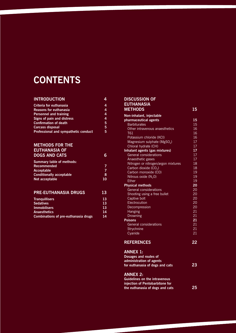# **CONTENTS**

#### **INTRODUCTION 4**

| Criteria for euthanasia              |   |
|--------------------------------------|---|
| <b>Reasons for euthanasia</b>        | 4 |
| <b>Personnel and training</b>        | 4 |
| Signs of pain and distress           | 4 |
| <b>Confirmation of death</b>         | 5 |
| <b>Carcass disposal</b>              | 5 |
| Professional and sympathetic conduct | 5 |

#### **METHODS FOR THE EUTHANASIA OF DOGS AND CATS 6**

| Summary table of methods:       |    |
|---------------------------------|----|
| <b>Recommended</b>              |    |
| Acceptable                      |    |
| <b>Conditionally acceptable</b> | 8  |
| Not acceptable                  | 10 |

#### **PRE-EUTHANASIA DRUGS 13**

| <b>Tranguillisers</b>                       | 13 |
|---------------------------------------------|----|
| <b>Sedatives</b>                            | 13 |
| <b>Immobilisers</b>                         | 13 |
| Anaesthetics                                | 14 |
| <b>Combinations of pre-euthanasia drugs</b> | 14 |

#### **DISCUSSION OF EUTHANASIA**

| <b>METHODS</b>                          | 15              |
|-----------------------------------------|-----------------|
| Non-inhalant, injectable                |                 |
| pharmaceutical agents                   | 15              |
| <b>Barbiturates</b>                     | 15              |
| Other intravenous anaesthetics          | 16              |
| <b>T61</b>                              | 16              |
| Potassium chloride (KCI)                | 16              |
| Magnesium sulphate (MgSO <sub>4</sub> ) | 17              |
| Chloral hydrate (CH)                    | 17              |
| Inhalant agents (gas mixtures)          | 17              |
| General considerations                  | 17              |
| Anaesthetic gases                       | 17              |
| Nitrogen or nitrogen/argon mixtures     | 18              |
| Carbon dioxide (CO <sub>2</sub> )       | 18              |
| Carbon monoxide (CO)                    | 19              |
| Nitrous oxide $(N_2 0)$                 | 19              |
| <b>Fther</b>                            | 19              |
| <b>Physical methods</b>                 | 20              |
| <b>General considerations</b>           | 20              |
| Shooting using a free bullet            | 20              |
| Captive bolt                            | 20              |
| Electrocution                           | $\overline{20}$ |
| Decompression                           | 20              |
| Hanging                                 | 21              |
| <b>Drowning</b>                         | 21              |
| <b>Poisons</b>                          | 21              |
| General considerations                  | 21              |
| Strychnine                              | 21              |
| Cyanide                                 | 21              |
| <b>REFERENCES</b>                       | 22              |
| <b>ANNEX 1:</b>                         |                 |
| Dosages and routes of                   |                 |
| administration of agents                |                 |
| for euthanasia of dogs and cats         | 23              |
|                                         |                 |

### **ANNEX 2:**

| <b>Guidelines on the intravenous</b> |              |
|--------------------------------------|--------------|
| injection of Pentobarbitone for      |              |
| the euthanasia of dogs and cats      | $25^{\circ}$ |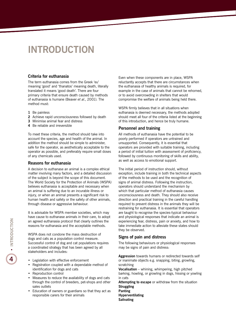## **INTRODUCTION**

#### **Criteria for euthanasia**

The term euthanasia comes from the Greek 'eu' meaning 'good' and 'thanatos' meaning death, literally translated it means 'good death'. There are four primary criteria that ensure death caused by methods of euthanasia is humane (Beaver *et al.*, 2001). The method must:

- **1** Be painless
- **2** Achieve rapid unconsciousness followed by death
- **3** Minimise animal fear and distress
- **4** Be reliable and irreversible

To meet these criteria, the method should take into account the species, age and health of the animal. In addition the method should be simple to administer, safe for the operator, as aesthetically acceptable to the operator as possible, and preferably require small doses of any chemicals used.

#### **Reasons for euthanasia**

A decision to euthanase an animal is a complex ethical matter involving many factors, and a detailed discussion of the subject is beyond the scope of this document. The World Society for the Protection of Animals (WSPA) believes euthanasia is acceptable and necessary when an animal is suffering due to an incurable illness or injury, or when an animal presents a significant risk to human health and safety or the safety of other animals, through disease or aggressive behaviour.

It is advisable for WSPA member societies, which may have cause to euthanase animals in their care, to adopt an agreed euthanasia protocol that clearly outlines the reasons for euthanasia and the acceptable methods.

WSPA does not condone the mass destruction of dogs and cats as a population control measure. Successful control of dog and cat populations requires a coordinated strategy that has been agreed by all stakeholders and includes:

- **•**  Legislation with effective enforcement
- **•**  Registration coupled with a dependable method of identification for dogs and cats
- **•** Reproduction control
- **•** Measures to reduce the availability of dogs and cats through the control of breeders, pet-shops and other sales outlets
- **•** Education of owners or guardians so that they act as responsible carers for their animals

Even when these components are in place, WSPA reluctantly accepts that there are circumstances when the euthanasia of healthy animals is required, for example in the case of animals that cannot be rehomed, or to avoid overcrowding in shelters that would compromise the welfare of animals being held there.

WSPA firmly believes that in all situations when euthanasia is deemed necessary, the methods adopted should meet all four of the criteria listed at the beginning of this introduction, and hence be truly humane.

#### **Personnel and training**

All methods of euthanasia have the potential to be poorly performed if operators are untrained and unsupported. Consequently, it is essential that operators are provided with suitable training, including a period of initial tuition with assessment of proficiency, followed by continuous monitoring of skills and ability, as well as access to emotional support.

The initial period of instruction should, without exception, include training in both the technical aspects of the methods to be used and the recognition of signs of animal distress. Following the instruction, operators should understand the mechanism by which that particular method of euthanasia causes unconsciousness and death. They should also receive direction and practical training in the careful handling required to prevent distress in the animals they will be restraining for euthanasia. It is essential that operators are taught to recognise the species-typical behaviour and physiological responses that indicate an animal is experiencing fear, distress, pain or anxiety, and how to take immediate action to alleviate these states should they be observed.

#### **Signs of pain and distress**

The following behaviours or physiological responses may be signs of pain and distress:

**Aggression** towards humans or redirected towards self or inanimate objects e.g. snapping, biting, growling, scratching

**Vocalisation** *–* whining, whimpering, high pitched barking, howling, or growling in dogs, hissing or yowling in cats

**Attempting to escape** or withdraw from the situation **Struggling Panting Hyperventilating Salivating**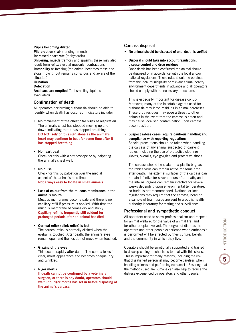#### **Pupils becoming dilated**

**Pilo-erection** (hair standing on end) **Increased heart rate** (tachycardia) **Shivering**, muscle tremors and spasms; these may also result from reflex skeletal muscular contractions **Immobility** or freezing (the animal becomes tense and stops moving, but remains conscious and aware of the situation) **Urination**

#### **Defecation**

**Anal sacs are emptied** (foul smelling liquid is evacuated)

#### **Confirmation of death**

All operators performing euthanasia should be able to identify when death has occurred. Indicators include:

- **• No movement of the chest / No signs of respiration** The animal's chest has stopped moving up and down indicating that it has stopped breathing. **DO NOT rely on this sign alone as the animal's heart may continue to beat for some time after it has stopped breathing**
- **• No heart beat** Check for this with a stethoscope or by palpating the animal's chest wall.
- **• No pulse** Check for this by palpation over the medial aspect of the animal's hind limb. **Not always easy to locate in small animals**
- **• Loss of colour from the mucous membranes in the animal's mouth**

Mucous membranes become pale and there is no capillary refill if pressure is applied. With time the mucous membrane becomes dry and sticky. **Capillary refill is frequently still evident for prolonged periods after an animal has died**

#### **• Corneal reflex (blink reflex) is lost**

The corneal reflex is normally elicited when the eyeball is touched. After death, the animal's eyes remain open and the lids do not move when touched.

**• Glazing of the eyes**

This occurs rapidly after death. The cornea loses its clear, moist appearance and becomes opaque, dry and wrinkled.

**• Rigor mortis**

**If death cannot be confirmed by a veterinary surgeon, or there is any doubt, operators should wait until rigor mortis has set in before disposing of the animal's carcass.**

#### **Carcass disposal**

- **• No animal should be disposed of until death is verified**
- **• Disposal should take into account regulations, disease control and drug residues**

Once death has been confirmed the animal should be disposed of in accordance with the local and/or national regulations. These rules should be obtained from the local municipality or relevant animal health/ environment departments in advance and all operators should comply with the necessary procedures.

This is especially important for disease control. Moreover, many of the injectable agents used for euthanasia may leave residues in animal carcasses. These drug residues may pose a threat to other animals in the event that the carcass is eaten and may cause localised contamination upon carcass decomposition.

**• Suspect rabies cases require cautious handling and compliance with reporting regulations** Special precautions should be taken when handling the carcass of any animal suspected of carrying rabies, including the use of protective clothing: gloves, overalls, eye goggles and protective shoes.

The carcass should be sealed in a plastic bag, as the rabies virus can remain active for some time after death. The external surfaces of the carcass can remain infective for several hours after death, and the internal organs can remain infective for several weeks depending upon environmental temperature, so burial is not recommended. National or local regulations may require that the carcass, head or a sample of brain tissue are sent to a public health authority laboratory for testing and surveillance.

#### **Professional and sympathetic conduct**

All operators need to show professionalism and respect for animal welfare, for the value of animal life, and for other people involved. The degree of distress that operators and other people experience when euthanasia is performed will be affected by their culture, beliefs and the community in which they live.

Operators should be emotionally supported and trained to develop coping mechanisms to deal with this stress. This is important for many reasons, including the risk that dissatisfied personnel may become careless when handling animals and performing euthanasia. Ensuring that the methods used are humane can also help to reduce the distress experienced by operators and other people.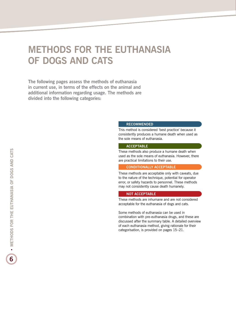# **METHODS FOR THE EUTHANASIA OF DOGS AND CATS**

**The following pages assess the methods of euthanasia in current use, in terms of the effects on the animal and additional information regarding usage. The methods are divided into the following categories:**

#### **RECOMMENDED**

This method is considered 'best practice' because it consistently produces a humane death when used as the sole means of euthanasia.

#### **ACCEPTABLE**

These methods also produce a humane death when used as the sole means of euthanasia. However, there are practical limitations to their use.

#### **CONDITIONALLY ACCEPTABLE**

These methods are acceptable only with caveats, due to the nature of the technique, potential for operator error, or safety hazards to personnel. These methods may not consistently cause death humanely.

#### **NOT ACCEPTABLE**

These methods are inhumane and are not considered acceptable for the euthanasia of dogs and cats.

Some methods of euthanasia can be used in combination with pre-euthanasia drugs, and these are discussed after the summary table. A detailed overview of each euthanasia method, giving rationale for their categorisation, is provided on pages 15–21.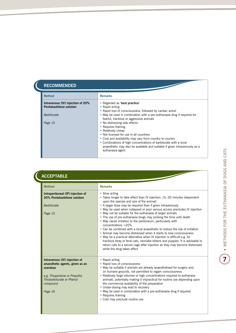## **recommended**

L

| <b>Method</b>                                                                             | <b>Remarks</b>                                                                                                                                                                                                                                                                                                                                                                                       |
|-------------------------------------------------------------------------------------------|------------------------------------------------------------------------------------------------------------------------------------------------------------------------------------------------------------------------------------------------------------------------------------------------------------------------------------------------------------------------------------------------------|
| Intravenous (IV) injection of 20%<br><b>Pentobarbitone solution</b><br><b>Barbiturate</b> | • Regarded as 'best practice'<br>• Rapid acting<br>• Rapid loss of consciousness, followed by cardiac arrest<br>• May be used in combination with a pre-euthanasia drug if required for                                                                                                                                                                                                              |
| Page 15                                                                                   | fearful, fractious or aggressive animals<br>• No distressing side effects<br>• Requires training<br>• Relatively cheap<br>• Not licensed for use in all countries<br>• Cost and availability may vary from country to country<br>• Combinations of high concentrations of barbiturate with a local<br>anaesthetic may also be available and suitable if given intravenously as a<br>euthanasia agent |

| <b>Method</b>                                                                                                                                                     | <b>Remarks</b>                                                                                                                                                                                                                                                                                                                                                                                                                                                                                                                                                                                                                                                                                                                                                                                                                                                                                                                                 |
|-------------------------------------------------------------------------------------------------------------------------------------------------------------------|------------------------------------------------------------------------------------------------------------------------------------------------------------------------------------------------------------------------------------------------------------------------------------------------------------------------------------------------------------------------------------------------------------------------------------------------------------------------------------------------------------------------------------------------------------------------------------------------------------------------------------------------------------------------------------------------------------------------------------------------------------------------------------------------------------------------------------------------------------------------------------------------------------------------------------------------|
| Intraperitoneal (IP) injection of<br>20% Pentobarbitone solution<br><b>Barbiturate</b><br>Page 15                                                                 | • Slow acting<br>• Takes longer to take effect than IV injection: 15-30 minutes (dependent<br>upon the species and size of the animal)<br>• A larger dose may be required than if given intravenously<br>. May be used when collapsed or poor venous access precludes IV injection<br>• May not be suitable for the euthanasia of larger animals<br>• The use of pre-euthanasia drugs may prolong the time until death<br>• May cause irritation to the peritoneum, particularly with<br>concentrations >20%<br>• Can be combined with a local anaesthetic to reduce the risk of irritation<br>• Animal may become distressed when it starts to lose consciousness<br>• May be a practical alternative when IV injection is difficult e.g. for<br>fractious stray or feral cats, neonatal kittens and puppies. It is advisable to<br>return cats to a secure cage after injection as they may become distressed<br>while the drug takes effect |
| Intravenous (IV) injection of<br>anaesthetic agents, given as an<br>overdose<br>e.g. Thiopentone or Propofol;<br>Thiobarbiturate or Phenol<br>compound<br>Page 16 | • Rapid acting<br>• Rapid loss of consciousness<br>• May be suitable if animals are already anaesthetised for surgery and,<br>on humane grounds, not permitted to regain consciousness<br>• Relatively large volumes or high concentrations required to euthanase<br>animals, potentially making it impractical for routine use depending upon<br>the commercial availability of the preparation<br>• Under-dosing may lead to recovery<br>• May be used in combination with a pre-euthanasia drug if required<br>• Requires training<br>• Cost may preclude routine use                                                                                                                                                                                                                                                                                                                                                                       |

# **7** •**METHODS FOR THE EUTHANASIA OF DOGS AND CATS**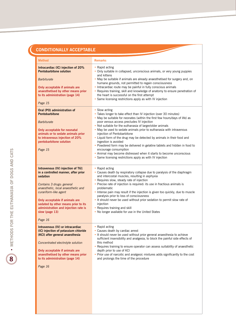| <b>Method</b>                                                                                                                                                                                                                                                                                                                  | <b>Remarks</b>                                                                                                                                                                                                                                                                                                                                                                                                                                                                                                                                                                                                                                                                                                                 |
|--------------------------------------------------------------------------------------------------------------------------------------------------------------------------------------------------------------------------------------------------------------------------------------------------------------------------------|--------------------------------------------------------------------------------------------------------------------------------------------------------------------------------------------------------------------------------------------------------------------------------------------------------------------------------------------------------------------------------------------------------------------------------------------------------------------------------------------------------------------------------------------------------------------------------------------------------------------------------------------------------------------------------------------------------------------------------|
| Intracardiac (IC) injection of 20%<br><b>Pentobarbitone solution</b><br><b>Barbiturate</b><br>Only acceptable if animals are<br>anaesthetised by other means prior<br>to its administration (page 14)<br>Page 15                                                                                                               | • Rapid acting<br>• Only suitable in collapsed, unconscious animals, or very young puppies<br>and kittens<br>. May be suitable if animals are already anaesthetised for surgery and, on<br>humane grounds, not permitted to regain consciousness<br>• Intracardiac route may be painful in fully conscious animals<br>• Requires training, skill and knowledge of anatomy to ensure penetration of<br>the heart is successful on the first attempt<br>• Same licensing restrictions apply as with IV injection                                                                                                                                                                                                                 |
| Oral (PO) administration of<br><b>Pentobarbitone</b><br><b>Barbiturate</b><br>Only acceptable for neonatal<br>animals or to sedate animals prior<br>to intravenous injection of 20%<br>pentobarbitone solution<br>Page 15                                                                                                      | • Slow acting<br>• Takes longer to take effect than IV injection (over 30 minutes)<br>. May be suitable for neonates (within the first few hours/days of life) as<br>poor venous access precludes IV injection<br>• Not suitable for the euthanasia of larger/older animals<br>. May be used to sedate animals prior to euthanasia with intravenous<br>iniection of Pentobarbitone<br>• Liquid form of the drug may be detected by animals in their food and<br>ingestion is avoided<br>• Powdered form may be delivered in gelatine tablets and hidden in food to<br>encourage consumption<br>• Animal may become distressed when it starts to become unconscious<br>• Same licensing restrictions apply as with IV injection |
| Intravenous (IV) injection of T61<br>in a controlled manner, after prior<br>sedation<br>Contains 3 drugs: general<br>anaesthetic, local anaesthetic and<br>curariform-like agent<br>Only acceptable if animals are<br>sedated by other means prior to its<br>administration and injection rate is<br>slow (page 13)<br>Page 16 | • Rapid acting<br>• Causes death by respiratory collapse due to paralysis of the diaphragm<br>and intercostal muscles, resulting in asphyxia<br>• Requires slow, steady rate of injection<br>• Precise rate of injection is required: its use in fractious animals is<br>problematic<br>• Intense pain may result if the injection is given too quickly, due to muscle<br>paralysis prior to loss of consciousness<br>. It should never be used without prior sedation to permit slow rate of<br>injection<br>• Requires training and skill<br>. No longer available for use in the United States                                                                                                                              |
| Intravenous (IV) or intracardiac<br>(IC) injection of potassium chloride<br>(KCI) after general anaesthesia<br>Concentrated electrolyte solution<br>Only acceptable if animals are<br>anaesthetised by other means prior<br>to its administration (page 14)<br>Page 16                                                         | • Rapid acting<br>• Causes death by cardiac arrest<br>• It should never be used without prior general anaesthesia to achieve<br>sufficient insensibility and analgesia, to block the painful side effects of<br>this method<br>Requires training to ensure operator can assess suitability of anaesthetic<br>depth prior to use of KCI<br>• Prior use of narcotic and analgesic mixtures adds significantly to the cost<br>and prolongs the time of the procedure                                                                                                                                                                                                                                                              |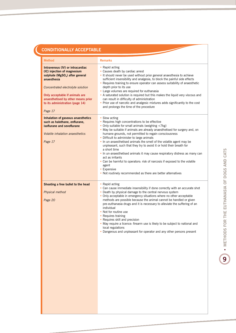## **conditionally acceptable**

| <b>Method</b>                                                                                                                                                                                                                                                                            | <b>Remarks</b>                                                                                                                                                                                                                                                                                                                                                                                                                                                                                                                                                                                                                                                                                                                                    |
|------------------------------------------------------------------------------------------------------------------------------------------------------------------------------------------------------------------------------------------------------------------------------------------|---------------------------------------------------------------------------------------------------------------------------------------------------------------------------------------------------------------------------------------------------------------------------------------------------------------------------------------------------------------------------------------------------------------------------------------------------------------------------------------------------------------------------------------------------------------------------------------------------------------------------------------------------------------------------------------------------------------------------------------------------|
| Intravenous (IV) or intracardiac<br>(IC) injection of magnesium<br>sulphate (MgSO <sub>4</sub> ) after general<br>anaesthesia<br>Concentrated electrolyte solution<br>Only acceptable if animals are<br>anaesthetised by other means prior<br>to its administration (page 14)<br>Page 17 | • Rapid acting<br>• Causes death by cardiac arrest<br>. It should never be used without prior general anaesthesia to achieve<br>sufficient insensibility and analgesia, to block the painful side effects<br>• Requires training to ensure operator can assess suitability of anaesthetic<br>depth prior to its use<br>• Large volumes are required for euthanasia<br>• A saturated solution is required but this makes the liquid very viscous and<br>can result in difficulty of administration<br>• Prior use of narcotic and analgesic mixtures adds significantly to the cost<br>and prolongs the time of the procedure                                                                                                                      |
| Inhalation of gaseous anaesthetics<br>such as halothane, enflurane,<br>isoflurane and sevoflurane<br><b>Volatile inhalation anaesthetics</b><br>Page 17                                                                                                                                  | • Slow acting<br>• Requires high concentrations to be effective<br>• Only suitable for small animals (weighing <7kg)<br>• May be suitable if animals are already anaesthetised for surgery and, on<br>humane grounds, not permitted to regain consciousness<br>• Difficult to administer to large animals<br>• In un-anaesthetised animals the smell of the volatile agent may be<br>unpleasant, such that they try to avoid it or hold their breath for<br>a short time<br>• In un-anaesthetised animals it may cause respiratory distress as many can<br>act as irritants<br>• Can be harmful to operators: risk of narcosis if exposed to the volatile<br>agent<br>• Expensive<br>. Not routinely recommended as there are better alternatives |
| Shooting a free bullet to the head<br>Physical method<br>Page 20                                                                                                                                                                                                                         | • Rapid acting<br>• Can cause immediate insensibility if done correctly with an accurate shot<br>• Death by physical damage to the central nervous system<br>• Only acceptable in emergency situations where no other acceptable<br>methods are possible because the animal cannot be handled or given<br>pre-euthanasia drugs and it is necessary to alleviate the suffering of an<br>individual<br>• Not for routine use<br>• Requires training<br>• Requires skill and precision<br>. May require a licence: firearm use is likely to be subject to national and<br>local regulations<br>• Dangerous and unpleasant for operator and any other persons present                                                                                 |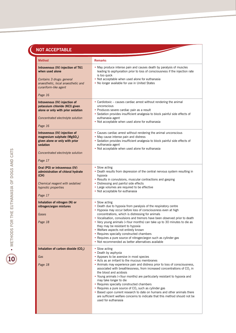# NOT ACCEPTABLE

| <b>Method</b>                                                                                                                                                 | <b>Remarks</b>                                                                                                                                                                                                                                                                                                                                                                                                                                                                                                                                                                                                                                                                                                                                                             |
|---------------------------------------------------------------------------------------------------------------------------------------------------------------|----------------------------------------------------------------------------------------------------------------------------------------------------------------------------------------------------------------------------------------------------------------------------------------------------------------------------------------------------------------------------------------------------------------------------------------------------------------------------------------------------------------------------------------------------------------------------------------------------------------------------------------------------------------------------------------------------------------------------------------------------------------------------|
| Intravenous (IV) injection of T61<br>when used alone<br>Contains 3 drugs: general<br>anaesthetic, local anaesthetic and<br>curariform-like agent<br>Page 16   | • May produce intense pain and causes death by paralysis of muscles<br>leading to asphyxiation prior to loss of consciousness if the injection rate<br>is too quick<br>• Not acceptable when used alone for euthanasia<br>. No longer available for use in United States                                                                                                                                                                                                                                                                                                                                                                                                                                                                                                   |
| Intravenous (IV) injection of<br>potassium chloride (KCI) given<br>alone or only with prior sedation<br>Concentrated electrolyte solution<br>Page 16          | • Cardiotoxic – causes cardiac arrest without rendering the animal<br>unconscious<br>• Produces severe cardiac pain as a result<br>• Sedation provides insufficient analgesia to block painful side effects of<br>euthanasia agent<br>• Not acceptable when used alone for euthanasia                                                                                                                                                                                                                                                                                                                                                                                                                                                                                      |
| Intravenous (IV) injection of<br>magnesium sulphate ( $MgSOa$ )<br>given alone or only with prior<br>sedation<br>Concentrated electrolyte solution<br>Page 17 | • Causes cardiac arrest without rendering the animal unconscious<br>• May cause intense pain and distress<br>• Sedation provides insufficient analgesia to block painful side effects of<br>euthanasia agent<br>• Not acceptable when used alone for euthanasia                                                                                                                                                                                                                                                                                                                                                                                                                                                                                                            |
| Oral (PO) or intravenous (IV)<br>administration of chloral hydrate<br>(CH)<br>Chemical reagent with sedative/<br>hypnotic properties<br>Page 17               | • Slow acting<br>• Death results from depression of the central nervous system resulting in<br>hypoxia<br>• Results in convulsions, muscular contractions and gasping<br>• Distressing and painful side effects<br>• Large volumes are required to be effective<br>• Not acceptable for euthanasia                                                                                                                                                                                                                                                                                                                                                                                                                                                                         |
| Inhalation of nitrogen (N) or<br>nitrogen/argon mixtures<br>Gases<br>Page 18                                                                                  | • Slow acting<br>• Death due to hypoxia from paralysis of the respiratory centre<br>• Hypoxia may occur before loss of consciousness even at high<br>concentrations, which is distressing for animals<br>• Vocalisation, convulsions and tremors have been observed prior to death<br>• Very young animals (< four months) can take up to 30 minutes to die as<br>they may be resistant to hypoxia<br>• Welfare aspects not entirely known<br>• Requires specially constructed chambers<br>• Requires a pure source of nitrogen/argon such as cylinder gas<br>• Not recommended as better alternatives available                                                                                                                                                           |
| Inhalation of carbon dioxide (CO <sub>2</sub> )<br>Gas<br>Page 18                                                                                             | • Slow acting<br>• Death by asphyxia<br>• Appears to be aversive in most species<br>• Acts as an irritant to the mucous membranes<br>• Animals may experience pain and distress prior to loss of consciousness,<br>associated with breathlessness, from increased concentrations of CO <sub>2</sub> in<br>the blood and acidosis<br>• Young animals ( <four and<br="" are="" hypoxia="" months)="" particularly="" resistant="" to="">may take longer to die<br/>• Requires specially constructed chambers<br/>• Requires a pure source of <math>CO2</math> such as cylinder gas<br/>• Based upon current research to date on humans and other animals there<br/>are sufficient welfare concerns to indicate that this method should not be<br/>used for euthanasia</four> |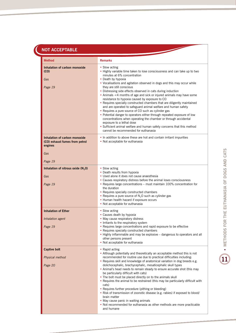## **Not acceptable**

| <b>Method</b>                                                                     | <b>Remarks</b>                                                                                                                                                                                                                                                                                                                                                                                                                                                                                                                                                                                                                                                                                                                                                                                                                                                                                                                                    |
|-----------------------------------------------------------------------------------|---------------------------------------------------------------------------------------------------------------------------------------------------------------------------------------------------------------------------------------------------------------------------------------------------------------------------------------------------------------------------------------------------------------------------------------------------------------------------------------------------------------------------------------------------------------------------------------------------------------------------------------------------------------------------------------------------------------------------------------------------------------------------------------------------------------------------------------------------------------------------------------------------------------------------------------------------|
| Inhalation of carbon monoxide<br>(CO)<br>Gas<br>Page 19                           | • Slow acting<br>. Highly variable time taken to lose consciousness and can take up to two<br>minutes at 6% concentration<br>• Death by hypoxia<br>. Vocalisations and agitation observed in dogs and this may occur while<br>they are still conscious<br>• Distressing side effects observed in cats during induction<br>• Animals <4 months of age and sick or injured animals may have some<br>resistance to hypoxia caused by exposure to CO<br>• Requires specially constructed chambers that are diligently maintained<br>and are operated to safeguard animal welfare and human safety<br>• Requires a pure source of CO such as cylinder gas<br>• Potential danger to operators either through repeated exposure of low<br>concentrations when operating the chamber or through accidental<br>exposure to a lethal dose<br>• Sufficient animal welfare and human safety concerns that this method<br>cannot be recommended for euthanasia |
| Inhalation of carbon monoxide<br>(CO) exhaust fumes from petrol<br>engines<br>Gas | • In addition to above these are hot and contain irritant impurities<br>• Not acceptable for euthanasia                                                                                                                                                                                                                                                                                                                                                                                                                                                                                                                                                                                                                                                                                                                                                                                                                                           |
| Page 19                                                                           |                                                                                                                                                                                                                                                                                                                                                                                                                                                                                                                                                                                                                                                                                                                                                                                                                                                                                                                                                   |
| Inhalation of nitrous oxide $(N_2 0)$<br>Gas<br>Page 19                           | • Slow acting<br>• Death results from hypoxia<br>· Used alone it does not cause anaesthesia<br>• Causes respiratory distress before the animal loses consciousness<br>• Requires large concentrations – must maintain 100% concentration for<br>the duration<br>• Requires specially constructed chambers<br>• Requires a pure source of $N2O$ such as cylinder gas<br>• Human health hazard if exposure occurs<br>• Not acceptable for euthanasia                                                                                                                                                                                                                                                                                                                                                                                                                                                                                                |
| <b>Inhalation of Ether</b><br>Inhalation agent<br>Page 19                         | • Slow acting<br>• Causes death by hypoxia<br>• May cause respiratory distress<br>• Irritants to the respiratory system<br>• Requires large concentrations and rapid exposure to be effective<br>• Requires specially constructed chambers<br>• Highly inflammable and may be explosive – dangerous to operators and all<br>other persons present<br>• Not acceptable for euthanasia                                                                                                                                                                                                                                                                                                                                                                                                                                                                                                                                                              |
| <b>Captive bolt</b><br>Physical method<br>Page 20                                 | • Rapid acting<br>• Although potentially and theoretically an acceptable method this is not<br>recommended for routine use due to practical difficulties including:<br>. Requires skill and knowledge of anatomical variation in dog breeds e.g.<br>dolichocephalic, brachycephalic, mesaticephalic skull types<br>• Animal's head needs to remain steady to ensure accurate shot (this may<br>be particularly difficult with cats)<br>• The bolt must be placed directly on to the animals skull<br>• Requires the animal to be restrained (this may be particularly difficult with<br>cats)<br>• Requires further procedure (pithing or bleeding)<br>• Risk of transmission of zoonotic disease (e.g. rabies) if exposed to blood/<br>brain matter<br>• May cause panic in waiting animals<br>• Not recommended for euthanasia as other methods are more practicable<br>and humane                                                              |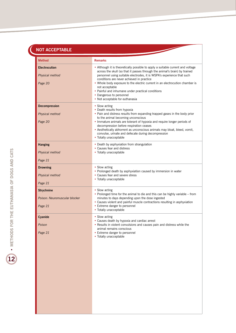## **NOT ACCEPTABLE**

| <b>Method</b>                                                 | <b>Remarks</b>                                                                                                                                                                                                                                                                                                                                                                                                                                                                                             |
|---------------------------------------------------------------|------------------------------------------------------------------------------------------------------------------------------------------------------------------------------------------------------------------------------------------------------------------------------------------------------------------------------------------------------------------------------------------------------------------------------------------------------------------------------------------------------------|
| <b>Electrocution</b><br>Physical method<br>Page 20            | • Although it is theoretically possible to apply a suitable current and voltage<br>across the skull (so that it passes through the animal's brain) by trained<br>personnel using suitable electrodes, it is WSPA's experience that such<br>conditions are never achieved in practice<br>• Whole body exposure to the electric current in an electrocution chamber is<br>not acceptable<br>• Painful and inhumane under practical conditions<br>• Dangerous to personnel<br>• Not acceptable for euthanasia |
| <b>Decompression</b><br>Physical method<br>Page 20            | • Slow acting<br>• Death results from hypoxia<br>. Pain and distress results from expanding trapped gases in the body prior<br>to the animal becoming unconscious<br>. Immature animals are tolerant of hypoxia and require longer periods of<br>decompression before respiration ceases<br>• Aesthetically abhorrent as unconscious animals may bloat, bleed, vomit,<br>convulse, urinate and defecate during decompression<br>• Totally unacceptable                                                     |
| <b>Hanging</b><br>Physical method                             | • Death by asphyxiation from strangulation<br>• Causes fear and distress<br>• Totally unacceptable                                                                                                                                                                                                                                                                                                                                                                                                         |
| Page 21                                                       |                                                                                                                                                                                                                                                                                                                                                                                                                                                                                                            |
| <b>Drowning</b><br>Physical method<br>Page 21                 | • Slow acting<br>• Prolonged death by asphyxiation caused by immersion in water<br>• Causes fear and severe stress<br>• Totally unacceptable                                                                                                                                                                                                                                                                                                                                                               |
| <b>Strychnine</b><br>Poison: Neuromuscular blocker<br>Page 21 | • Slow acting<br>• Prolonged time for the animal to die and this can be highly variable – from<br>minutes to days depending upon the dose ingested<br>• Causes violent and painful muscle contractions resulting in asphyxiation<br>• Extreme danger to personnel<br>• Totally unacceptable                                                                                                                                                                                                                |
| Cyanide<br>Poison<br>Page 21                                  | • Slow acting<br>• Causes death by hypoxia and cardiac arrest<br>• Results in violent convulsions and causes pain and distress while the<br>animal remains conscious<br>• Extreme danger to personnel<br>• Totally unacceptable                                                                                                                                                                                                                                                                            |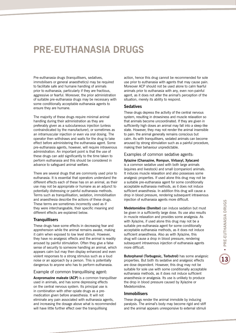## **PRE-EUTHANASIA DRUGS**

Pre-euthanasia drugs (tranquillisers, sedatives, immobilisers or general anaesthetics) may be required to facilitate safe and humane handling of animals prior to euthanasia, particularly if they are fractious, aggressive or fearful. Moreover, the prior administration of suitable pre-euthanasia drugs may be necessary with some conditionally acceptable euthanasia agents to ensure they are humane.

The majority of these drugs require minimal animal handling during their administration as they are preferably given as a subcutaneous injection (unless contraindicated by the manufacturer), or sometimes as an intramuscular injection or even via oral dosing. The operator then withdraws and waits for the drug to take effect before administering the euthanasia agent. Some pre-euthanasia agents, however, will require intravenous administration. An important point is that the use of these drugs can add significantly to the time taken to perform euthanasia and this should be considered in advance to safeguard animal welfare.

There are several drugs that are commonly used prior to euthanasia. It is essential that operators understand the different effects each of these has on an animal, as their use may not be appropriate or humane as an adjunct to potentially distressing or painful euthanasia methods. Terms such as tranquillisation, sedation, immobilisation and anaesthesia describe the actions of these drugs. These terms are sometimes incorrectly used as if they were interchangeable, their specific meaning and different effects are explained below.

#### **Tranquillisers**

These drugs have some effects in decreasing fear and apprehension while the animal remains awake, making it calm when exposed to low level stimuli. However, they have no analgesic effects and the animal is readily aroused by painful stimulation. Often they give a false sense of security to someone handling an animal, which appears calm but may then display enhanced and even violent responses to a strong stimulus such as a loud noise or an approach by a person. This is potentially dangerous to anyone who has to perform euthanasia.

#### Example of common tranquillising agent:

**Acepromazine maleate (ACP)** is a common tranquilliser used in animals, and has some depressing effects on the central nervous system. Its principal use is in combination with other opiate drugs as a premedication given before anaesthesia. It will not eliminate any pain associated with euthanasia agents, and increasing the dosage above what is recommended will have little further effect over the tranquillising

action, hence this drug cannot be recommended for sole use prior to euthanasia with agents that may cause pain. Moreover ACP should not be used alone to calm fearful animals prior to euthanasia with any, even non-painful agent, as it does not alter the animal's perception of the situation, merely its ability to respond.

#### **Sedatives**

These drugs depress the activity of the central nervous system, resulting in drowsiness and muscle relaxation so that animals become uncoordinated. If they are given in sufficiently high doses an animal may fall into a sleep-like state. However, they may not render the animal insensible to pain: the animal generally remains conscious but calm. As with tranquillisers, sedated animals can become aroused by strong stimulation such as a painful procedure, making their behaviour unpredictable.

#### Examples of common sedative agents:

**Xylazine (Chanazine, Rompun, Virbaxyl, Xylacare)** is a common sedative used with both large animals (equines and livestock) and small (companion) animals. It induces muscle relaxation and also possesses some analgesic properties. If used alone this drug may not be a suitable pre-euthanasia agent for some conditionally acceptable euthanasia methods, as it does not induce sufficient anaesthesia. In addition this drug will cause a drop in blood pressure, rendering subsequent intravenous injection of euthanasia agents more difficult.

**Medetomidine (Domitor)** can induce sedation but must be given in a sufficiently large dose. Its use also results in muscle relaxation and provides some analgesia. As with Xylazine, if used alone this drug may not be a suitable pre-euthanasia agent for some conditionally acceptable euthanasia methods, as it does not induce sufficient anaesthesia. Also as with Xylazine, this drug will cause a drop in blood pressure, rendering subsequent intravenous injection of euthanasia agents more difficult.

**Butorphanol (Torbugesic, Torbutrol)** has some analgesic properties. But both its sedative and analgesic effects are dose dependent. However, this drug may not be suitable for sole use with some conditionally acceptable euthanasia methods, as it does not induce sufficient anaesthesia or analgesia. Its use is unlikely to produce the drop in blood pressure caused by Xylazine or Medetomidine.

#### **Immobilisers**

These drugs render the animal immobile by inducing paralysis. The animal's body may become rigid and stiff and the animal appears unresponsive to external stimuli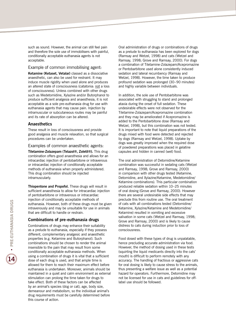such as sound. However, the animal can still feel pain and therefore the sole use of immobilisers with painful, conditionally acceptable euthanasia agents is not acceptable.

#### Example of common immobilising agent:

**Ketamine (Ketaset, Vetalar)** classed as a dissociative anaesthetic, can also be used for restraint. It may induce muscle rigidity when used alone and produces an altered state of consciousness (catatonia: not a loss of consciousness). Unless combined with other drugs such as Medetomidine, Xylazine and/or Butorphanol to produce sufficient analgesia and anaesthesia, it is not acceptable as a sole pre-euthanasia drug for use with euthanasia agents that may cause pain. Injection by intramuscular or subcutaneous routes may be painful and its rate of absorption can be altered.

#### **Anaesthetics**

These result in loss of consciousness and provide good analgesia and muscle relaxation, so that surgical procedures can be undertaken.

#### Examples of common anaesthetic agents:

**Tiletamine-Zolazepam (Telazol®, Zoletil®).** This drug combination offers good anaesthesia and allows for an intracardiac injection of pentobarbitone or intravenous or intracardiac injection of conditionally acceptable methods of euthanasia when properly administered. This drug combination should be injected intramuscularly.

**Thiopentone and Propofol.** These drugs will result in sufficient anaesthesia to allow for intracardiac injection of pentobarbitone or intravenous or intracardiac injection of conditionally acceptable methods of euthanasia. However, both of these drugs must be given intravenously and may be unsuitable for use in animals that are difficult to handle or restrain.

#### **Combinations of pre-euthanasia drugs**

Combinations of drugs may enhance their suitability as a prelude to euthanasia, especially if they possess different, complementary analgesic and anaesthetic properties (e.g. Ketamine and Butorphanol). Such combinations should be chosen to render the animal insensible to the pain that may result from some conditionally acceptable euthanasia methods. When using a combination of drugs it is vital that a sufficient dose of each drug is used, and that ample time is allowed for them to reach their maximum effect before euthanasia is undertaken. Moreover, animals should be maintained in a quiet and calm environment as external stimulation can prolong the time taken for drugs to take effect. Both of these factors can be affected by an animal's species (dog or cat), age, body size, demeanour and metabolism, so the individual animal's drug requirements must be carefully determined before this course of action.

Oral administration of drugs or combinations of drugs as a prelude to euthanasia has been explored for dogs (Ramsay and Wetzel, 1998) and cats (Wetzel and Ramsay, 1998; Grove and Ramsay, 2000). For dogs a combination of Tiletamine-Zolazepam/Acepromazine or Pentobarbitone used alone consistently induced sedation and lateral recumbency (Ramsay and Wetzel, 1998). However, the time taken to produce profound sedation was prolonged (30*–*90 minutes) and highly variable between individuals.

In addition, the sole use of Pentobarbitone was associated with struggling to stand and prolonged ataxia during the onset of full sedation. These undesirable effects were not observed for the Tiletamine-Zolazepam/Acepromazine combination and they may be ameliorated if Acepromazine is added to the Pentobarbitone dose (Ramsay and Wetzel, 1998), but this combination was not tested. It is important to note that liquid preparations of the drugs mixed with food were detected and rejected by dogs (Ramsay and Wetzel, 1998). Uptake by dogs was greatly improved when the required dose of powdered preparations was placed in gelatine capsules and hidden in canned (wet) food.

The oral administration of Detomidine/Ketamine combination was successful in sedating cats (Wetzel and Ramsay, 1998; Grove and Ramsay, 2000) in comparison with other drugs tested (Ketamine, Detomidine, and Xylazine/Ketamine, Medetomidine/ Ketamine combinations). This particular combination produced reliable sedation within 10*–*25 minutes of oral dosing (Grove and Ramsay, 2000). However there are several undesirable side effects that may preclude this from routine use. The oral treatment of cats with all combinations tested (Detomidine/ Ketamine, Xylazine/Ketamine and Medetomidine/ Ketamine) resulted in vomiting and excessive salivation in some cats (Wetzel and Ramsay, 1998; Grove and Ramsay, 2000) and is likely to cause distress to cats during induction prior to loss of consciousness.

Food dosed with these types of drug is unpalatable, hence precluding accurate administration via food. However, the method of dosing used in these tests (squirting the liquid medicants directly into the cats' mouth) is difficult to perform remotely with any accuracy. The handling of fractious or aggressive cats for oral dosing is likely to cause stress to the animals, thus presenting a welfare issue as well as a potential hazard for operators. Furthermore, Detomidine may not be licensed for use in cats and guidelines for offlabel use should be followed.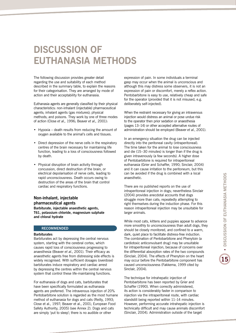# **DISCUSSION OF EUTHANASIA METHODS**

The following discussion provides greater detail regarding the use and suitability of each method described in the summary table, to explain the reasons for their categorisation. They are arranged by mode of action and their acceptability for euthanasia.

Euthanasia agents are generally classified by their physical characteristics: non-inhalant (injectable) pharmaceutical agents; inhalant agents (gas mixtures); physical methods; and poisons. They work by one of three modes of action (Close *et al.,* 1996; Beaver *et al.,* 2001):

- Hypoxia death results from reducing the amount of oxygen available to the animal's cells and tissues.
- Direct depression of the nerve cells in the respiratory centres of the brain necessary for maintaining life function, leading to a loss of consciousness followed by death.
- Physical disruption of brain activity through concussion, direct destruction of the brain, or electrical depolarisation of nerve cells, leading to rapid unconsciousness. Death occurs owing to destruction of the areas of the brain that control cardiac and respiratory functions.

#### **Non-inhalant, injectable pharmaceutical agents**

**Barbiturate, injectable anaesthetic agents, T61, potassium chloride, magnesium sulphate and chloral hydrate**

#### **RECOMMENDED**

#### **Barbiturates**

Barbiturates act by depressing the central nervous system, starting with the cerebral cortex, which causes rapid loss of consciousness progressing to anaesthesia (Beaver *et al.*, 2001). Their efficacy as anaesthetic agents free from distressing side effects is widely recognised. With sufficient dosages (overdose) barbiturates induce respiratory and cardiac arrest by depressing the centres within the central nervous system that control these life-maintaining functions.

For euthanasia of dogs and cats, barbiturates that have been specifically formulated as euthanasia agents are preferred. The intravenous injection of 20% Pentobarbitone solution is regarded as the most humane method of euthanasia for dogs and cats (Reilly, 1993; Close et al., 1997; Beaver et al., 2001; European Food Safety Authority, 2005) (see Annex 2). Dogs and cats are simply 'put to sleep'; there is no audible or other

expression of pain. In some individuals a terminal gasp may occur when the animal is unconscious and although this may distress some observers, it is not an expression of pain or discomfort, merely a reflex action. Pentobarbitone is easy to use, relatively cheap and safe for the operator (provided that it is not misused, e.g. deliberately self-injected).

When the restraint necessary for giving an intravenous injection would distress an animal or pose undue risk to the operator then prior sedation or anaesthesia (pages 13–14) or other accepted alternative routes of administration should be employed (Beaver *et al.*, 2001).

In an emergency situation the drug can be injected directly into the peritoneal cavity (intraperitoneal). The time taken for the animal to lose consciousness and die (15–30 minutes) is longer than if the drug is given intravenously (a few seconds). A higher dose of Pentobarbitone is required for intraperitoneal euthanasia (Grier and Schaffer, 1990; Sinclair, 2004) and it can cause irritation to the peritoneum, but this can be avoided if the drug is combined with a local anaesthetic.

There are no published reports on the use of intraperitoneal injection in dogs; nevertheless Sinclair (2004) provides anecdotal accounts that dogs struggle more than cats; repeatedly attempting to right themselves during the induction phase. For this reason intraperitoneal injection may be unsuitable for larger animals.

While most cats, kittens and puppies appear to advance more smoothly to unconsciousness than adult dogs, they should be closely monitored, and confined to a warm, dark, quiet place to facilitate distress-free induction. The combination of Pentobarbitone and Phenytoin (a cardiotoxic anticonvulsant drug) may be unsuitable for intraperitoneal injection, because of concerns over the differential absorption rates of the two compounds (Sinclair, 2004). The effects of Phenytoin on the heart may occur before the Pentobarbitone component has caused unconsciousness (Fakkema, 1999 cited by Sinclair, 2004).

The technique for intrahepatic injection of Pentobarbitone has been reported by Grier and Schaffer (1990). When correctly administered. its action is considerably faster in comparison to injection via the intraperitoneal route, with cardiac standstill being reported within 11–14 minutes. However, performing accurate intrahepatic injection is technically difficult and may cause animals discomfort (Sinclair, 2004). Administration outside of the target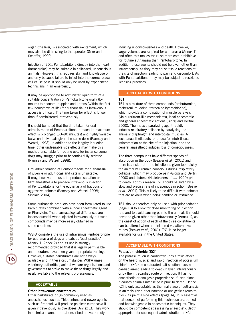organ (the liver) is associated with excitement, which may also be distressing to the operator (Grier and Schaffer, 1990).

Injection of 20% Pentobarbitone directly into the heart (intracardiac) may be suitable in collapsed, unconscious animals. However, this requires skill and knowledge of anatomy because failure to inject into the correct place will cause pain. It should only be used by experienced technicians in an emergency.

It may be appropriate to administer liquid form of a suitable concentration of Pentobarbitone orally (by mouth) to neonatal puppies and kittens (within the first few hours/days of life) for euthanasia, as intravenous access is difficult. The time taken for effect is longer than if administered intravenously.

It should be noted that the time taken for oral administration of Pentobarbitone to reach its maximum effect is prolonged (30–90 minutes) and highly variable between individuals given the same dose (Ramsay and Wetzel, 1998). In addition to the lengthy induction time, other undesirable side effects may make this method unsuitable for routine use, for instance some dogs may struggle prior to becoming fully sedated (Ramsay and Wetzel, 1998).

Oral administration of Pentobarbitone for euthanasia of juvenile or adult dogs and cats is unsuitable. It may, however, be used to produce sedation or light anaesthesia to precede intravenous injection of Pentobarbitone for the euthanasia of fractious or aggressive animals (Ramsay and Wetzel, 1998; Sinclair, 2004).

Some euthanasia products have been formulated to use barbiturates combined with a local anaesthetic agent or Phenytoin. The pharmacological differences are inconsequential when injected intravenously but such compounds may be more easily obtained in some countries.

WSPA considers the use of intravenous Pentobarbitone for euthanasia of dogs and cats as 'best practice' (Annex 1, Annex 2) and its use is strongly recommended provided that it is legally permissible and operators have been given appropriate training. However, suitable barbiturates are not always available and in these circumstances WSPA urges veterinary authorities, animal welfare organisations and governments to strive to make these drugs legally and easily available to the relevant professionals.

#### **ACCEPTABLE**

#### **Other intravenous anaesthetics**

Other barbiturate drugs commonly used as anaesthetics, such as Thiopentone and newer agents such as Propofol, will produce painless euthanasia if given intravenously as overdoses (Annex 1). They work in a similar manner to that described above, rapidly

inducing unconsciousness and death. However, larger volumes are required for euthanasia (Annex 1) and often this makes their use more cost prohibitive for routine euthanasia than Pentobarbitone. In addition these agents should not be given other than intravenously, as they may cause tissue reactions at the site of injection leading to pain and discomfort. As with Pentobarbitone, they may be subject to restricted licensing practices.

#### **ACCEPTABLE WITH CONDITIONS**

#### **T61**

T61 is a mixture of three compounds (embutramide, mebezonium iodine, tetracaine hydrochloride), which provide a combination of muscle paralysis (via curarifrom-like mechanisms), local anaesthetic and general anaesthetic actions (Giorgi and Bertini, 2000). The muscle paralysing agent rapidly induces respiratory collapse by paralysing the animals' diaphragm and intercostal muscles. A local anaesthetic acts to reduce (painful) tissue inflammation at the site of the injection, and the general anaesthetic induces loss of consciousness.

The three compounds have different speeds of absorption in the body (Beaver *et al.,* 2001) and there is a risk that if the injection is given too quickly the animal will remain conscious during respiratory collapse, which may produce pain (Giorgi and Bertini, 2000) and distress (Hellebrekers *et al.,* 1990) prior to death. For this reason T61 should be given by a slow and precise rate of intravenous injection (Beaver *et al.,* 2001). This is likely to be difficult with animals that are anxious when being handled or restrained.

T61 should therefore only be used with prior sedation (page 13) to allow for close monitoring of injection rate and to avoid causing pain to the animal. It should never be given other than intravenously (Annex 1), as the onset of action of each of the three constituents can be altered when administered via alternative routes (Beaver *et al.,* 2001). T61 is no longer available for use in the United States.

#### **ACCEPTABLE WITH CONDITIONS**

#### **Potassium chloride (KCI)**

The potassium ion is cardiotoxic (has a toxic effect on the heart muscle) and rapid injection of potassium chloride (KCI) as a saturated salt solution causes cardiac arrest leading to death if given intravenously or by the intracardiac route of injection. It has no anaesthetic or analgesic properties so if used alone it causes animals intense pain prior to death. Hence KCI is only acceptable as the final stage of euthanasia in animals given prior narcotic or analgesic agents to block its painful side effects (page 14). It is essential that personnel performing this technique are trained and knowledgeable in anaesthetic techniques. They should be competent at assessing anaesthetic depth appropriate for subsequent administration of KCI.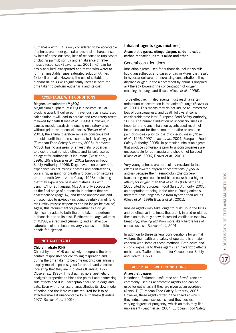Euthanasia with KCl is only considered to be acceptable if animals are under general anaesthesia, characterised by loss of consciousness, loss of response to unpleasant (including painful) stimuli and an absence of reflex muscle responses (Beaver *et al.,* 2001). KCI can be easily acquired, transported and mixed with water to form an injectable, supersaturated solution (Annex 1) to kill animals. However, the use of suitable preeuthanasia drugs will significantly increase both the time taken to perform euthanasia and its cost.

#### **ACCEPTABLE WITH CONDITIONS**

#### **Magnesium sulphate (MgSO<sub>4</sub>)**

Magnesium sulphate ( $MgSO<sub>4</sub>$ ) is a neuromuscular blocking agent. If delivered intravenously as a saturated salt solution it will lead to cardiac and respiratory arrest followed by death (Close *et al.*, 1996). However, it causes muscle paralysis (inducing respiratory arrest) without prior loss of consciousness (Beaver *et al.*, 2001); the animal therefore remains conscious but immobile until the brain succumbs to lack of oxygen (European Food Safety Authority, 2005). Moreover  $MgSO<sub>4</sub>$  has no analgesic or anaesthetic properties to block the painful side effects and its sole use as an agent for euthanasia is inhumane (Close *et al.*, 1996, 1997; Beaver *et al.*, 2001; European Food Safety Authority, 2005). Dogs have been observed to experience violent muscle spasms and contractions, vocalising, gasping for breath and convulsion seizures prior to death (Avariez and Caday, 1958), indicating that they experience pain and distress. As with using KCI for euthanasia,  $MgSO<sub>4</sub>$  is only acceptable as the final stage of euthanasia in animals that are anaesthetised (page 14) and hence unconscious and unresponsive to noxious (including painful) stimuli (and their reflex muscle responses can no longer be evoked). Again, this requirement for pre-euthanasia drugs significantly adds to both the time taken to perform euthanasia and to its cost. Furthermore, large volumes of  $MgSO<sub>4</sub>$  are required (Annex 1) and an effective saturated solution becomes very viscous and difficult to handle for injection.

#### **NOT ACCEPTABLE**

#### **Chloral hydrate (CH)**

Chloral hydrate (CH) acts slowly to depress the brain centres responsible for controlling respiration and during the time taken to become unconscious animals display muscle spasms, gasp for breath and vocalise; indicating that they are in distress (Carding, 1977; Close *et al.,* 1996). This drug has no anaesthetic or analgesic properties to block the painful and distressing side effects and it is unacceptable for use in dogs and cats. Even with prior use of anaesthetics its slow mode of action and the large volume required for it to be effective make it unacceptable for euthanasia (Carding, 1977; Beaver *et al.,* 2001).

#### **Inhalant agents (gas mixtures)**

#### **Anaesthetic gases, nitrogen/argon, carbon dioxide, carbon monoxide, nitrous oxide and ether**

#### General considerations

Inhalation agents used for euthanasia include volatile liquid anaesthetics and gases or gas mixtures that result in hypoxia; delivered at increasing concentrations they displace oxygen in the air breathed by animals (inspired air) thereby lowering the concentration of oxygen reaching the lungs and tissues (Close *et al.*, 1996).

To be effective, inhaled agents must reach a certain (minimum) concentration in the animal's lungs (Beaver *et al.*, 2001). This means they do not induce an immediate loss of consciousness, and death follows at some considerable time later (European Food Safety Authority, 2005). The humane induction of unconsciousness is important, and any inhalation agents used must not be unpleasant for the animal to breathe or produce pain or distress prior to loss of consciousness (Close *et al.*, 1996, 1997; Leach *et al.*, 2004; European Food Safety Authority, 2005). In particular, inhalation agents that produce convulsions prior to unconsciousness are unacceptable for euthanasia and should not be used (Close *et al.*, 1996; Beaver *et al.*, 2001).

Very young animals are particularly resistant to the effects of lowered oxygen concentrations (hypoxia/ anoxia) because their haemoglobin (the oxygentransporting molecule in red blood cells) has a higher affinity for oxygen than that of adults (Pritchett *et al.*, 2005 cited by European Food Safety Authority, 2005); an adaptation to being in the uterus. Young animals, therefore, take longer to die from hypoxia than adults (Close *et al.*, 1996; Beaver *et al.*, 2001).

Inhaled agents may take longer to build up in the lungs and be effective in animals that are ill, injured or old, as these animals may show decreased ventilation (shallow breathing), making agitation more likely before loss of consciousness (Beaver *et al.*, 2001).

In addition to these general considerations for animal welfare, the health and safety of operators is a major concern with some of these methods. Both acute and chronic exposure to these agents can have toxic effects on humans (National Institute for Occupational Safety and Health, 1977).

#### **ACCEPTABLE WITH CONDITIONS**

#### **Anaesthetic gases**

Halothane, Enflurane, Isoflurane and Sevoflurane are commonly used as anaesthetic agents and can be used for euthanasia if they are given as an overdose (Annex 1) (European Food Safety Authority, 2005). However, these agents differ in the speed at which they induce unconsciousness and they possess varying degrees of pungency, which animals may find unpleasant (Leach *et al.,* 2004; European Food Safety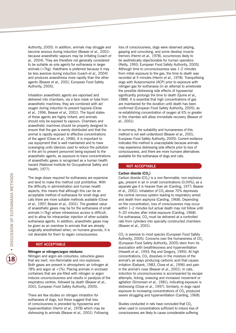Authority, 2005). In addition, animals may struggle and become anxious during induction (Beaver *et al.,* 2001) because anaesthetic vapours may be irritating (Leach *et al.,* 2004). They are therefore not generally considered to be suitable as sole agents for euthanasia in larger animals (>7kg). Halothane is preferred because it may be less aversive during induction (Leach *et al.,* 2004) and produces anaesthesia more rapidly than the other agents (Beaver *et al.,* 2001; European Food Safety Authority, 2005).

Inhalation anaesthetic agents are vaporised and delivered into chambers, via a face mask or tube from anaesthetic machines; they are combined with air/ oxygen during induction to prevent hypoxia (Close *et al.,* 1996, Beaver *et al.,* 2001). The liquid states of these agents are highly irritant, and animals should only be exposed to vapours. Chambers and anaesthetic machines should be properly designed to ensure that the gas is evenly distributed and that the animal is rapidly exposed to effective concentrations of the agent (Close *et al.,* 1996). It is important to use equipment that is well maintained and to have scavenging units (devices used to reduce the pollution in the air) to prevent personnel being exposed to the anaesthetic agents, as exposure to trace concentrations of anaesthetic gases is recognised as a human health hazard (National Institute for Occupational Safety and Health, 1977).

The large doses required for euthanasia are expensive and tend to make this method cost prohibitive. With the difficulty in administration and human health aspects, this means that although this can be an acceptable method of euthanasia for small dogs and cats there are more suitable methods available (Close *et al.,* 1997; Beaver *et al.,* 2001). The greatest value of anaesthetic gases may be for the euthanasia of small animals (<7kg) where intravenous access is difficult, and to allow for intracardiac injection of other suitable euthanasia agents. In addition, anaesthetic gases may be given as an overdose to animals that are already surgically anesthetised when, on humane grounds, it is not desirable for them to regain consciousness.

#### **NOT ACCEPTABLE**

#### **Nitrogen or nitrogen/argon mixtures**

Nitrogen and argon are colourless, odourless gases that are inert, non-flammable and non-explosive. Both gases are present in atmospheric air (nitrogen at 78% and argon at <1%). Placing animals in enclosed containers that are pre-filled with nitrogen or argon induces unconsciousness and results in paralysis of the respiratory centres, followed by death (Beaver *et al.,* 2001; European Food Safety Authority, 2005).

There are few studies on nitrogen inhalation for euthanasia of dogs, but these suggest that loss of consciousness is preceded by hypoxemia and hyperventilation (Herrin *et al.,* 1978) which may be distressing to animals (Beaver *et al.,* 2001). Following loss of consciousness, dogs were observed yelping, gasping and convulsing, and some develop muscle tremors (Herrin *et al.,* 1978), occurrences likely to be aesthetically objectionable for human operators (Reilly, 1993; European Food Safety Authority, 2005). Although time to unconsciousness was 1–2 minutes from initial exposure to the gas, the time to death was recorded at 5 minutes (Herrin *et al.,* 1978). Tranquillising dogs with Acepromazine (ACP) prior to exposure with nitrogen gas for euthanasia (in an attempt to ameliorate the possible distressing side effects of hypoxemia) significantly prolongs the time to death (Quine *et al.,* 1988). It is essential that high concentrations of gas are maintained for the duration until death has been confirmed (European Food Safety Authority, 2005), as re-establishing concentration of oxygen at 6% or greater in the chamber will allow immediate recovery (Beaver *et al.,* 2001).

In summary, the suitability and humaneness of this method is not well understood (Beaver *et al.*, 2001; European Food Safety Authority, 2005). Current evidence indicates this method is unacceptable because animals may experience distressing side effects prior to loss of consciousness, and there are more humane alternatives available for the euthanasia of dogs and cats.

#### **NOT ACCEPTABLE**

#### Carbon dioxide (CO<sub>2</sub>)

Carbon dioxide  $(CO<sub>2</sub>)$  is a non-flammable, non-explosive gas, present in air in small concentrations (0.04%); as a separate gas it is heavier than air (Carding, 1977; Beaver *et al.,* 2001). Inhalation of CO<sub>2</sub> above 70% depresses the central nervous system leading to respiratory arrest and death from asphyxia (Carding, 1968). Depending on the concentration, loss of consciousness may occur within 1*–*2 minutes but actual death may not follow until 5–20 minutes after initial exposure (Carding, 1968). For euthanasia,  $CO<sub>2</sub>$  must be delivered at a controlled rate from cylinders into specially constructed chambers (Beaver *et al.,* 2001).

CO<sub>2</sub> is aversive to most species (European Food Safety Authority, 2005). Concerns over the humaneness of  $CO<sub>2</sub>$ (European Food Safety Authority, 2005) stem from its association with breathlessness and hyperventilation (Hewett *et al.*, 1993; Raj and Gregory, 1995). At high concentrations,  $CO<sub>2</sub>$  dissolves in the moisture of the animal's air ways producing carbonic acid that causes irritation (Ewbank, 1983, Close *et al.*, 1996) and pain in the animal's nose (Beaver *et al.*, 2001). In cats, induction to unconsciousness is accompanied by escape attempts, licking, sneezing and increased movement or agitation (Simonsen *et al.*, 1981); indicating exposure is distressing (Close *et al.*, 1997). Similarly, in dogs rapid exposure to increasing concentrations of  $CO<sub>2</sub>$  produced severe struggling and hyperventilation (Carding, 1968).

Studies conducted in rats have concluded that CO<sub>2</sub> when used in concentrations sufficient to induce loss of consciousness are likely to cause considerable suffering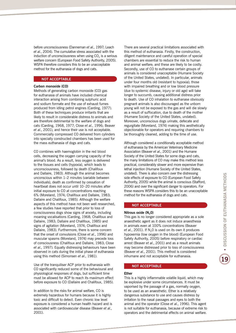before unconsciousness (Danneman *et al.*, 1997; Leach *et al.*, 2004). The cumulative stress associated with the induction of unconsciousness when using  $CO<sub>2</sub>$  is a serious welfare concern (European Food Safety Authority, 2005). WSPA therefore considers this to be an unacceptable method for the euthanasia of dogs and cats.

#### **NOT ACCEPTABLE**

#### **Carbon monoxide (CO)**

Methods of generating carbon monoxide (CO) gas for euthanasia of animals have included chemical interaction arising from combining sulphuric acid and sodium formate and the use of exhaust fumes produced from idling petrol engines (Carding, 1977). Both of these techniques produce irritants that are likely to result in considerable distress to animals and are therefore detrimental to the welfare of dogs and cats (Carding, 1968, 1977; Close *et al.*, 1996; Beaver *et al.*, 2001), and hence their use is not acceptable. Commercially compressed CO delivered from cylinders into specially constructed chambers has been used for the mass euthanasia of dogs and cats.

CO combines with haemoglobin in the red blood cells, decreasing the oxygen carrying capacity of the animal's blood. As a result, less oxygen is delivered to the tissues and cells (hypoxia), which leads to unconsciousness, followed by death (Chalifoux and Dallaire, 1983). Although the animal becomes unconscious within 1–2 minutes (variable between individuals), death as confirmed by cessation of heartbeat does not occur until 10–20 minutes after initial exposure to CO at concentrations reaching 6% (Moreland, 1974; Chalifoux and Dallaire, 1983; Dallaire and Chalifoux, 1985). Although the welfare aspects of this method have not been well researched, a few studies have reported that prior to loss of consciousness dogs show signs of anxiety, including moaning vocalisations (Carding, 1968; Chalifoux and Dallaire, 1983; Dallaire and Chalifoux, 1985) and signs of agitation (Moreland, 1974; Chalifoux and Dallaire, 1983). Furthermore, there is some concern that the onset of convulsions (Close *et al.*, 1996) and muscular spasms (Moreland, 1974) may precede loss of consciousness (Chalifoux and Dallaire, 1983; Close *et al.*, 1997). Equally distressing behaviours have been observed in cats during the initial phase of euthanasia using this method (Simonsen *et al.*, 1981).

Use of the tranquiliser ACP prior to euthanasia with CO significantly reduced some of the behavioural and physiological responses of dogs, but sufficient time must be allowed for ACP to reach its maximum effect before exposure to CO (Dallaire and Chalifoux, 1985).

In addition to the risks for animal welfare, CO is extremely hazardous for humans because it is highly toxic and difficult to detect. Even chronic low level exposure is considered a human health hazard and is associated with cardiovascular disease (Beaver *et al.*, 2001).

There are several practical limitations associated with this method of euthanasia. Firstly, the construction, diligent maintenance and careful operation of special chambers are essential to reduce the risk to human and animal welfare; and these are likely to be costly. Secondly, use of CO to euthanase certain groups of animals is considered unacceptable (Humane Society of the United States, undated). In particular, animals under four months old (resistant to hypoxia); those with impaired breathing and or low blood pressure (due to systemic disease, injury or old age) will take longer to succumb, causing additional distress prior to death. Use of CO inhalation to euthanase obviously pregnant animals is also discouraged as the unborn young will not be exposed to the gas and will die slowly as a result of suffocation, due to death of the mother (Humane Society of the United States, undated). Moreover, unconscious dogs urinate, defecate and regurgitate (Moreland, 1974) making this aesthetically objectionable for operators and requiring chambers to be thoroughly cleaned, adding to the time of use.

Although considered a conditionally acceptable method of euthanasia by the American Veterinary Medicine Association (Beaver *et al.*, 2001) and the Humane Society of the United States for some dogs and cats, the many limitations of CO may make this method less practical, considerably slower and more expensive than lethal injection (Humane Society of the United States, undated). There is also concern over the distressing side effects of exposure to CO (European Food Safety Authority, 2005) while the animal is conscious (Stafford, 2006) and over the significant danger to operators. For these reasons WSPA considers this to be an unacceptable method for the euthanasia of dogs and cats.

#### **NOT ACCEPTABLE**

#### **Nitrous oxide (N<sub>2</sub>0)**

This gas is no longer considered appropriate as a sole anaesthetic agent as it does not induce anaesthesia in animals even at 100% concentrations (Beaver *et al.*, 2001). If  $N<sub>2</sub>0$  is used on its own it produces hypoxemia (low oxygen in the blood) (European Food Safety Authority, 2005) before respiratory or cardiac arrest (Beaver *et al.*, 2001) and as a result animals may become distressed prior to loss of consciousness (Beaver *et al.*, 2001). This method is considered inhumane and not acceptable for euthanasia.

#### **NOT ACCEPTABLE**

#### **Ether**

This is a highly inflammable volatile liquid, which may be explosive under some circumstances. It must be vaporised by the passage of a gas, normally oxygen, to be used as an anaesthetic. Ether is a relatively dangerous substance to use and causes distress by irritation to the nasal passages and eyes to both the animal and the operator (Close *et al.*, 1996). This agent is not suitable for euthanasia, because of extreme risk to operators and the detrimental effects on animal welfare.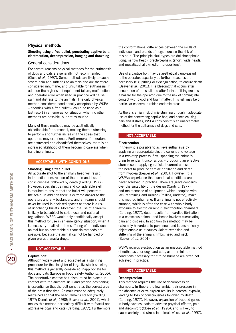#### **Physical methods**

#### **Shooting using a free bullet, penetrating captive bolt, electrocution, decompression, hanging and drowning**

#### General considerations

For several reasons physical methods for the euthanasia of dogs and cats are generally not recommended (Close *et al.,* 1997). Some methods are likely to cause severe pain and suffering to animals and are therefore considered inhumane, and unsuitable for euthanasia. In addition the high risk of equipment failure, malfunction and operator error when used in practice will cause pain and distress to the animals. The only physical method considered conditionally acceptable by WSPA *–* shooting with a free bullet *–* could be used as a last resort in an emergency situation when no other methods are possible, but not as routine.

Many of these methods may be aesthetically objectionable for personnel, making them distressing to perform and further increasing the stress that operators may experience. Furthermore, if operators are distressed and dissatisfied themselves, there is an increased likelihood of them becoming careless when handling animals.

#### **ACCEPTABLE WITH CONDITIONS**

#### **Shooting using a free bullet**

An accurate shot to the animal's head will result in immediate destruction of the brain and loss of consciousness, followed by death (Carding, 1977). However, specialist training and considerable skill is required to ensure that the bullet will penetrate the brain. In addition there is extreme danger to the operators and any bystanders, and a firearm should never be used in enclosed spaces as there is a risk of ricocheting bullets. Moreover, the use of a firearm is likely to be subject to strict local and national regulations. WSPA would only conditionally accept this method for use in an emergency situation, when it is necessary to alleviate the suffering of an individual animal but no acceptable euthanasia methods are possible, because the animal cannot be handled or given pre-euthanasia drugs.

#### **NOT ACCEPTABLE**

#### **Captive bolt**

Although widely used and accepted as a stunning procedure for the slaughter of large livestock species, this method is generally considered inappropriate for dogs and cats (European Food Safety Authority, 2005). The penetrative captive bolt pistol must be placed in contact with the animal's skull and precise positioning is essential so that the bolt penetrates the correct area of the brain first time. Animals must be adequately restrained so that the head remains steady (Carding, 1977; Dennis *et al.,* 1988; Beaver *et al.,* 2001), which makes this method particularly difficult with fearful and aggressive dogs and cats (Carding, 1977). Furthermore, the conformational differences between the skulls of individuals and breeds of dogs increase the risk of a mis-stun. The principle skull types are dolichocephalic (long, narrow head), brachycephalic (short, wide heads) and mesaticephalic (medium proportions).

Use of a captive bolt may be aesthetically unpleasant to the operator, especially as further measures are necessary (e.g. pithing or exsanguination) to ensure death (Beaver *et al.,* 2001). The bleeding that occurs after penetration of the skull and after further pithing creates a hazard for the operator, due to the risk of coming into contact with blood and brain matter. This risk may be of particular concern in rabies-endemic areas.

As there is a high risk of mis-stunning through inadequate use of the penetrating captive bolt, and hence causing pain and distress, WSPA considers this an unacceptable method for the euthanasia of dogs and cats.

#### **NOT ACCEPTABLE**

#### **Electrocution**

In theory it is possible to achieve euthanasia by applying an appropriate electric current and voltage in a two-step process: first, spanning the animal's brain to render it unconscious – producing an effective stun; second, applying sufficient current across the heart to produce cardiac fibrillation and death from hypoxia (Beaver *et al.*, 2001). However, it is WSPA's experience that such ideal conditions are never achieved in practice. There are grave concerns over the suitability of the design (Carding, 1977) and maintenance of equipment, which, coupled with lack of training and misuse (Phillips, undated), make this method inhumane. If an animal is not effectively stunned, which is often the case with whole body exposure to electric current in electrocution chambers (Carding, 1977), death results from cardiac fibrillation in a conscious animal, and hence involves excruciating pain and distress. In addition this method may be extremely hazardous to personnel, and is aesthetically objectionable as it causes violent extension and stiffening of the animal's limbs, head and neck (Beaver *et al.*, 2001).

WSPA regards electrocution as an unacceptable method of euthanasia for dogs and cats, as the minimum conditions necessary for it to be humane are often not achieved in practice.

#### **NOT ACCEPTABLE**

#### **Decompression**

This method requires the use of decompression chambers. In theory the low ambient air pressure in the absence of extra oxygen results in cerebral hypoxia, leading to loss of consciousness followed by death (Carding, 1977). However, expansion of trapped gases in body cavities leads to adverse physical effects, pain and discomfort (Close *et al.*, 1996), and is likely to cause anxiety and stress in animals (Close *et al.*, 1997).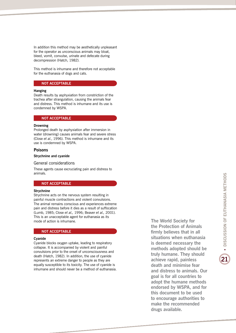In addition this method may be aesthetically unpleasant for the operator as unconscious animals may bloat, bleed, vomit, convulse, urinate and defecate during decompression (Hatch, 1982).

This method is inhumane and therefore not acceptable for the euthanasia of dogs and cats.

#### **NOT ACCEPTABLE**

#### **Hanging**

Death results by asphyxiation from constriction of the trachea after strangulation, causing the animals fear and distress. This method is inhumane and its use is condemned by WSPA.

#### **NOT ACCEPTABLE**

#### **Drowning**

Prolonged death by asphyxiation after immersion in water (drowning) causes animals fear and severe stress (Close *et al.*, 1996). This method is inhumane and its use is condemned by WSPA.

#### **Poisons**

#### **Strychnine and cyanide**

#### General considerations

These agents cause excruciating pain and distress to animals.

#### **NOT ACCEPTABLE**

#### **Strychnine**

Strychnine acts on the nervous system resulting in painful muscle contractions and violent convulsions. The animal remains conscious and experiences extreme pain and distress before it dies as a result of suffocation (Lumb, 1985; Close *et al.,* 1996; Beaver *et al.,* 2001). This is an unacceptable agent for euthanasia as its mode of action is inhumane.

#### **NOT ACCEPTABLE**

#### **Cyanide**

Cyanide blocks oxygen uptake, leading to respiratory collapse. It is accompanied by violent and painful convulsions prior to the onset of unconsciousness and death (Hatch, 1982). In addition, the use of cyanide represents an extreme danger to people as they are equally susceptible to its toxicity. The use of cyanide is inhumane and should never be a method of euthanasia. **The World Society for the Protection of Animals firmly believes that in all situations when euthanasia is deemed necessary the methods adopted should be truly humane. They should achieve rapid, painless death and minimise fear and distress to animals. Our goal is for all countries to adopt the humane methods endorsed by WSPA, and for this document to be used to encourage authorities to make the recommended drugs available.**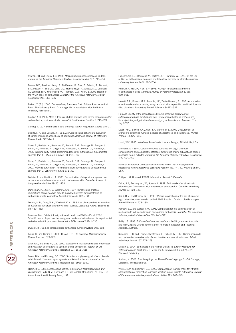## **REFERENCES**

Avariez, J.B. and Caday, L.B. 1958. Magnesium sulphate euthanasia in dogs. *Journal of the American Veterinary Medical Association Aug* (15): 213*–*214.

Beaver, B.V., Reed, W., Leary, S., McKiernan, B., Bain, F., Schultz, R., Bennett, B.T., Pascoe, P., Shull, E., Cork, L.C., Francis-Floyd, R., Amass, K.D., Johnson, R., Schmidt, R.H., Underwood, W., Thornton, G.W., Kohn, B. 2001. Report of the AVMA panel on euthanasia. *Journal of the American Veterinary Medical Association* 218: 669–696.

Bishop, Y. (Ed). 2005. *The Veterinary Formulary*. Sixth Edition. Pharmaceutical Press, The University Press, Cambridge, UK in Association with the British Veterinary Association.

Carding, A.H. 1968. Mass euthanasia of dogs and cats with carbon monoxide and/or carbon dioxide; preliminary trials. *Journal of Small Animal Practice* 9: 245–259.

Carding, T. 1977. Euthanasia of cats and dogs. *Animal Regulation Studies* 1: 5*–*21.

Chalifoux, A., and Dallaire, A. 1983. A physiologic and behavioural evaluation of carbon monoxide anaesthesia of adult dogs. *American Journal of Veterinary Research* 44: 2412*–*2417.

Close, B., Banister, K., Baumans, V., Bernoth, E.M., Bromage, N., Bunyan, J., Erhart, W., Flecknell, P., Gregory, N., Hackbarth, H., Morton, D., Warwick, C. 1996. Working party report: Recommendations for euthanasia of experimental animals: Part 1. *Laboratory Animals* 30: 293–316.

Close, B., Banister, K., Baumans, V., Bernoth, E.M., Bromage, N., Bunyan, J., Erhart, W., Flecknell, P., Gregory, N., Hackbarth, H., Morton, D., Warwick, C. 1997. Working party report: Recommendations for euthanasia of experimental animals: Part 2. *Laboratory Animals* 3: 1–32.

Dallaire, A. and Chalifoux, A. 1985. Premedication of dogs with acepromazine or pentazocine before euthanasia with carbon monoxide. *Canadian Journal of Comparative Medicine* 49: 171–178.

Danneman, P.J., Stein, S., Walshaw, S.O. 1997. Humane and practical implications of using carbon dioxide mixed with oxygen for anaesthesia or euthanasia of rats. *Laboratory Animal Science* 47: 376 *–* 385.

Dennis, M.B., Dong, W.K., Weisbrod, K.A. 1988. Use of captive bolt as a method of euthanasia for larger laboratory animal species. *Laboratory Animal Science* 38 (4): 459– 462.

European Food Safety Authority – Animal Health and Welfare Panel. 2005. Scientific report: Aspects of the biology and welfare of animals used for experimental and other scientific purposes. Annex to the *EFSA Journal* 292: 1–136.

Ewbank, R. 1983. Is carbon dioxide euthanasia humane? *Nature* 305: 268.

Giorgi, M. and Bertini, S. 2000. TANAX (T61): An overview. *Pharmacological Research* 41 (4): 379–383.

Grier, R.L., and Schaffer, C.B. 1990. Evaluation of intraperitoneal and intrahepatic administration of a euthanasia agent in animal shelter cats. *Journal of the American Veterinary Medical Association* 197: 1611–1615.

Grove, D.M. and Ramsay, E.C. 2000. Sedative and physiological effects of orally administered 2-adrenoceptor agonists and ketamine in cats. Journal of the *American Veterinary Medical Association* 216: 1929–1932.

Hatch, R.C. 1982. Euthanatizing agents. In *Veterinary Pharmaceuticals and Therapeutics*. (eds. N.M. Booth and L.E. McDonald), fifth edition, pp. 1059–64. Ames, Iowa State University Press, USA.

Hellebrekers, L.J., Baumans, V., Bertens, A.P., Hartman, W. 1990. On the use of T61 for euthanasia of domestic and laboratory animals; an ethical evaluation. *Laboratory Animals* 24(3): 200–204.

Herin, R.A., Hall, P., Fitch, J.W. 1978. Nitrogen inhalation as a method of euthanasia in dogs. *American Journal of Veterinary Research* 39 (6): 989–991.

Hewett, T.A., Kovacs, M.S., Antwohl, J.E., Taylor-Bennett, B. 1993. A comparison of euthanasia methods in rats, using carbon dioxide in pre-filled and fixed flow rate filled chambers. *Laboratory Animal Science* 43: 573–582.

Humane Society of the United States (HSUS). Undated. *Statement on euthanasia methods for dogs and cats*. www.animalsheltering.org/resource\_ library/policies\_and\_guidelines/statement\_on\_ euthanasia.html Accessed 31st July 2007.

Leach, M.C., Bowell, V.A., Allan, T.F., Morton, D.B. 2004. Measurement of aversion to determine humane methods of anaesthesia and euthanasia. *Animal Welfare* 13: S77*–*S86.

Lumb, W.V. 1985. *Veterinary Anaesthesia.* Lea and Febiger, Philadelphia, USA.

Moreland, A.F. 1974. Carbon monoxide euthanasia of dogs: Chamber concentrations and comparative effects of automobile engine exhaust and carbon monoxide from a cylinder. *Journal of the American Veterinary Medical Association* 165: 853–855.

National Institute for Occupational Safety and Health. 1977. *Occupational exposure to waste anaesthetic gases and vapours.* No. 77*–*140. Washington D.C., USA.

Phillips, J.M. Undated. RSPCA Information: *Animal Euthanasia*.

Quine, J.P., Buckingham, W., Strunin, L. 1988. Euthanasia of small animals with nitrogen: Comparison with intraveneous pentobarbital. *Canadian Veterinary Journal* 29: 724*–*726.

Raj, A.B.M. and Gregory, N.G. 1995. Welfare implications of the gas stunning of pigs: determination of aversion to the initial inhalation of carbon dioxide or argon. *Animal Welfare* 4: 273–280.

Ramsay, E.C. and Wetzel, R.W. 1998. Comparison for oral administration of medication to induce sedation in dogs prior to euthanasia. *Journal of the American Veterinary Medical Association* 213: 240–242.

Reilly, J.S. 1993. *Euthanasia of animals used for scientific purposes*. Australian and New Zealand Council for the Care of Animals in Research and Teaching, Adelaide, Australia.

Simonsen, H.B. and Thordal-Christensen, A., Ockens, N. 1981. Carbon monoxide and carbon dioxide euthanasia of cats: duration and animal behaviour. *British Veterinary Journal* 137: 274–278.

Sinclair, L. 2004. Euthanasia in the Animal Shelter. In: *Shelter Medicine for Veterinarians and Staff.* (eds. L. Miller and S. Zawistowski), pp 389–409. Blackwell Publishing.

Stafford, K. 2006. Free living dogs. In: *The welfare of dogs*, pp: 31–54. Springer, Dordrecht, The Netherlands.

Wetzel, R.W. and Ramsay, E.C. 1998. Comparison of four regimens for intraoral administration of medication to induce sedation in cats prior to euthanasia. *Journal of the American Veterinary Medical Association* 213: 243–245.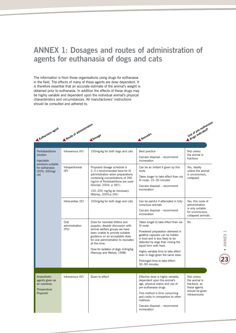## **ANNEX 1: Dosages and routes of administration of agents for euthanasia of dogs and cats**

The information is from those organisations using drugs for euthanasia in the field. The effects of many of these agents are dose dependent. It is therefore essential that an accurate estimate of the animal's weight is obtained prior to euthanasia. In addition the effects of these drugs may be highly variable and dependent upon the individual animal's physical characteristics and circumstances. All manufacturers' instructions should be consulted and adhered to.



| Pentobarbitone<br>solution<br>Injectable<br>solutions suitable<br>for euthanasia<br>(20%: 200mg/<br>mI) | Intravenous (IV)                   | 150mg/kg for both dogs and cats                                                                                                                                                                                                                                                                    | Best practice<br>Carcass disposal - recommend<br>incineration                                                                                                                                                                                                                                          | Not unless<br>the animal is<br>fractious                                                          |
|---------------------------------------------------------------------------------------------------------|------------------------------------|----------------------------------------------------------------------------------------------------------------------------------------------------------------------------------------------------------------------------------------------------------------------------------------------------|--------------------------------------------------------------------------------------------------------------------------------------------------------------------------------------------------------------------------------------------------------------------------------------------------------|---------------------------------------------------------------------------------------------------|
|                                                                                                         | Intraperitoneal<br>$(\mathsf{IP})$ | Proposed dosage schedule is<br>2-3 x recommended dose for IV<br>administration when preparations<br>containing concentrations of 390<br>mg/ml of Pentobarbitone are used<br>(Sinclair, 2004: p 397.)<br>120-200 mg/kg as necessary<br>(Bishop, 2005:p 291)                                         | Can be an irritant if given by this<br>route<br>Takes longer to take effect than via<br>IV route: 15-30 minutes<br>Carcass disposal - recommend<br>incineration                                                                                                                                        | Yes, ideally<br>unless the animal<br>is unconscious.<br>collapsed                                 |
|                                                                                                         | Intracardiac (IC)                  | 150mg/kg for both dogs and cats                                                                                                                                                                                                                                                                    | Can be painful if attempted in fully<br>conscious animals<br>Carcass disposal - recommend<br>incineration                                                                                                                                                                                              | Yes, this route of<br>administration<br>is only suitable<br>for unconscious.<br>collapsed animals |
|                                                                                                         | Oral<br>administration<br>(PO)     | Dose for neonatal kittens and<br>puppies: despite discussion with<br>animal welfare groups we have<br>been unable to provide suitable<br>guidance on an acceptable dose<br>for oral administration to neonates<br>at this time.<br>Dose for sedation of dogs: 63mg/kg<br>(Ramsay and Wetzel, 1998) | Takes longer to take effect than via<br>IV route<br>Powdered preparation delivered in<br>gelatine capsules can be hidden<br>in food and is less likely to be<br>detected by dogs than mixing the<br>liquid form with food.<br>Highly variable time to take effect<br>even in dogs given the same dose. | No                                                                                                |
|                                                                                                         |                                    |                                                                                                                                                                                                                                                                                                    | Prolonged time to take effect:<br>30-90 minutes.                                                                                                                                                                                                                                                       |                                                                                                   |
|                                                                                                         |                                    |                                                                                                                                                                                                                                                                                                    |                                                                                                                                                                                                                                                                                                        |                                                                                                   |
| Anaesthetic<br>agents given as<br>an overdose.<br><b>Thiopentone</b><br>Proprofol                       | Intravenous (IV)                   | Given to effect                                                                                                                                                                                                                                                                                    | Effective dose is highly variable,<br>dependent upon the animal's<br>age, physical status and use of<br>pre-euthanasia drugs<br>This method is time consuming<br>and costly in comparison to other<br>methods<br>Carcass disposal - recommend<br>incineration                                          | Not unless<br>the animal is<br>fractious, as<br>these agents<br>should be given<br>intravenously  |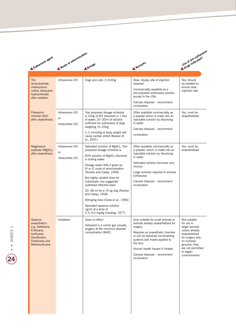|                                                                                                                             | Route of administration                     |                                                                                                                                                                                                                                                                                                                                                                                                                                                       |                                                                                                                                                                                                                                                                                          |                                                                                                                                                                                      |  |
|-----------------------------------------------------------------------------------------------------------------------------|---------------------------------------------|-------------------------------------------------------------------------------------------------------------------------------------------------------------------------------------------------------------------------------------------------------------------------------------------------------------------------------------------------------------------------------------------------------------------------------------------------------|------------------------------------------------------------------------------------------------------------------------------------------------------------------------------------------------------------------------------------------------------------------------------------------|--------------------------------------------------------------------------------------------------------------------------------------------------------------------------------------|--|
| Euthanasia agent                                                                                                            |                                             | <b>Dosage</b>                                                                                                                                                                                                                                                                                                                                                                                                                                         | Remarks                                                                                                                                                                                                                                                                                  | Use of pre-euthanasia<br>Uze ut Hildreated?                                                                                                                                          |  |
| T61                                                                                                                         | Intravenous (IV)                            | Dogs and cats: 0.3ml/kg                                                                                                                                                                                                                                                                                                                                                                                                                               | Slow, steady rate of injection                                                                                                                                                                                                                                                           | Yes, should                                                                                                                                                                          |  |
| (embutramide,<br>mebezonium<br>iodine, tetracaine<br>hydrochloride)<br>after sedation                                       |                                             |                                                                                                                                                                                                                                                                                                                                                                                                                                                       | required<br>Commercially available as a<br>pre-prepared euthanasia solution<br>accept in the USA                                                                                                                                                                                         | be sedated to<br>ensure slow<br>injection rate                                                                                                                                       |  |
|                                                                                                                             |                                             |                                                                                                                                                                                                                                                                                                                                                                                                                                                       | Carcass disposal - recommend<br>incineration                                                                                                                                                                                                                                             |                                                                                                                                                                                      |  |
| Potassium<br>chloride (KCI)<br>after anaesthesia                                                                            | Intravenous (IV)<br>or<br>intracardiac (IC) | One proposed dosage schedule<br>is 100g of KCI dissolved in 1 litre<br>of water; 20-30ml of solution<br>sufficient for euthanasia of dogs<br>weighing 15-20kg                                                                                                                                                                                                                                                                                         | Often available commercially as<br>a powder which is made into an<br>injectable solution by dissolving<br>in water<br>Carcass disposal - recommend<br>incineration                                                                                                                       | Yes, must be<br>anaesthetised                                                                                                                                                        |  |
|                                                                                                                             |                                             | 1-2 mmol/kg of body weight will<br>cause cardiac arrest (Beaver et<br>al., 2001)                                                                                                                                                                                                                                                                                                                                                                      |                                                                                                                                                                                                                                                                                          |                                                                                                                                                                                      |  |
| Magnesium<br>sulphate ( $MgSOA$ )<br>after anaesthesia                                                                      | Intravenous (IV)<br>or                      | Saturated solution of MgSO <sub>4</sub> . One<br>proposed dosage schedule is:                                                                                                                                                                                                                                                                                                                                                                         | Often available commercially as<br>a powder, which is made into an<br>injectable solution by dissolving                                                                                                                                                                                  | Yes, must be<br>anaesthetised                                                                                                                                                        |  |
|                                                                                                                             | intracardiac (IC)                           | 83% solution of MgSO <sub>4</sub> dissolved<br>in boiling water:<br>Dosage varies little if given by<br>IV or IC route of administration<br>(Avariez and Caday, 1958).<br>But highly variable dose for<br>individuals; one suggested<br>published effective dose:<br>20-38 ml for a 15 kg dog (Avariez<br>and Caday, 1958).<br>80mg/kg dose (Close et al., 1996)<br>Saturated aqueous solution<br>1g/ml at a dose of<br>2.5-4.0 mg/kg (Carding, 1977) | in water<br>Saturated solution becomes very<br>viscous<br>Large volumes required to achieve<br>euthanasia<br>Carcass disposal - recommend<br>incineration                                                                                                                                |                                                                                                                                                                                      |  |
| Gaseous<br>anaesthetics<br>e.g. Halothane,<br>Enflurane,<br>Isoflurane,<br>Sevoflurane,<br>Desflurane and<br>Methoxyflurane | Inhalation                                  | Given to effect<br>Delivered in a carrier gas (usually<br>oxygen) at the minimum alveolar<br>concentration (MAC)                                                                                                                                                                                                                                                                                                                                      | Only suitable for small animals or<br>animals already anaesthetised for<br>surgery<br>Requires an anaesthetic chamber<br>or can be delivered via breathing<br>systems and masks applied to<br>the face<br>Human health hazard if inhaled<br>Carcass disposal - recommend<br>incineration | Not suitable<br>for use in<br>larger animals<br>unless already<br>anaesthetised<br>for surgery and,<br>on humane<br>grounds, they<br>are not permitted<br>to regain<br>consciousness |  |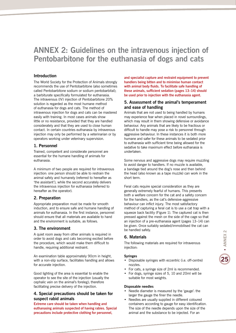## **ANNEX 2: Guidelines on the intravenous injection of Pentobarbitone for the euthanasia of dogs and cats**

#### **Introduction**

The World Society for the Protection of Animals strongly recommends the use of Pentobarbitone (also sometimes called Pentobarbitone sodium or sodium pentobarbital); a barbiturate specifically formulated for euthanasia. The intravenous (IV) injection of Pentobarbitone 20% solution is regarded as the most humane method of euthanasia for dogs and cats. The method of intravenous injection for dogs and cats can be mastered easily with training. In most cases animals show little or no resistance, provided that they are handled considerately and that they are used to close human contact. In certain countries euthanasia by intravenous injection may only be performed by a veterinarian or by operators working under veterinary supervision.

#### **1. Personnel**

Trained, competent and considerate personnel are essential for the humane handling of animals for euthanasia.

A minimum of two people are required for intravenous injection: one person should be able to restrain the animal safely and humanely (referred to hereafter as 'the assistant'), while the second accurately delivers the intravenous injection for euthanasia (referred to hereafter as the operator).

#### **2. Preparation**

Appropriate preparation must be made for smooth induction, and to ensure safe and humane handling of animals for euthanasia. In the first instance, personnel should ensure that all materials are available to hand and the environment is suitable, as follows.

#### **3. The environment**

A quiet room away from other animals is required in order to avoid dogs and cats becoming excited before the procedure, which would make them difficult to handle, requiring additional restraint.

An examination table approximately 90cm in height, with a non-slip surface, facilitates handling and allows for accurate injection.

Good lighting of the area is essential to enable the operator to see the site of the injection (usually the cephalic vein on the animal's foreleg); therefore facilitating precise delivery of the injection.

#### **4. Special precautions should be taken for suspect rabid animals**

**Extreme care should be taken when handling and euthanasing animals suspected of having rabies. Special precautions include protective clothing for personnel,** 

**and specialist capture and restraint equipment to prevent handlers being bitten and to minimise human contact with animal body fluids. To facilitate safe handling of these animals, sufficient sedation (pages 13–14) should be used prior to injection with the euthanasia agent.**

#### **5. Assessment of the animal's temperament and ease of handling**

Animals that are not used to being handled by humans may experience fear when placed in novel surroundings, which may result in them showing defensive or avoidance behaviour. Any animals that are likely to be fractious or difficult to handle may pose a risk to personnel through aggressive behaviour. In these instances it is both more humane and safer for these animals to be sedated prior to euthanasia with sufficient time being allowed for the sedative to take maximum effect before euthanasia is undertaken.

Some nervous and aggressive dogs may require muzzling to avoid danger to handlers. If no muzzle is available, a bandage tied around the dog's nose and then behind the head (also known as a tape muzzle) can work in the short term.

Feral cats require special consideration as they are generally extremely fearful of humans. This presents both a welfare concern for the cat and a safety concern for the handlers, as the cat's defensive-aggressive behaviour can inflict injury. The most satisfactory method of capturing a feral cat is to use a cat trap with a squeeze back facility (Figure 1). The captured cat is then pressed against the mesh on the side of the cage so that an injection of a pre-euthanasia agent (pages 13–14) can be given. Once suitably sedated/immobilised the cat can be handled safely.

#### **6. Materials**

The following materials are required for intravenous injection:

#### **Syringes**

- Disposable syringes with eccentric (i.e. off-centre) nozzles.
- For cats, a syringe size of 2ml is recommended.
- For dogs, syringe sizes of 5, 10 and 20ml will be suitable for most weights.

#### **Disposable needles**

- Needle diameter is measured by the 'gauge': the larger the gauge the finer the needle.
- Needles are usually supplied in different coloured containers according to gauge for easy identification. The size of the needle depends upon the size of the animal and the substance to be injected. For an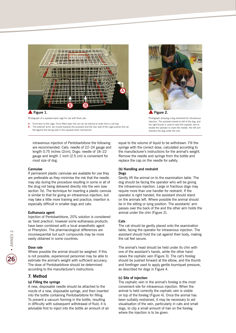

#### **Figure 1.**

Photograph of a squeeze-back cage for use with feral cats.

 $A -$  Front door to the cage. Once lifted open the cat can be enticed to enter from a cat trap **B** – The external 'arms' are moved towards the assistant and the rear wall of the cage pushes the cat flat against the facing wall in the squeeze-back mechanism.

intravenous injection of Pentobarbitone the following are recommended: Cats: needle of 22–24 gauge and length 0.75 inches (2cm), Dogs: needle of 18–22 gauge and length 1 inch (2.5 cm) is convenient for most size of dog.

#### **Cannulae**

If permanent plastic cannulae are available for use they are preferable as they minimise the risk that the needle may slip during the procedure resulting in some or all of the drug not being delivered directly into the vein (see section 7e). The technique for inserting a plastic cannula is similar to that for giving an intravenous injection, but may take a little more training and practice; insertion is especially difficult in smaller dogs and cats.

#### **Euthanasia agent**

Injection of Pentobarbitone, 20% solution is considered as 'best practice'; however some euthanasia products have been combined with a local anaesthetic agent or Phenytoin. The pharmacological differences are inconsequential but such compounds may be more easily obtained in some countries.

#### **Dose rate**

Where possible the animal should be weighed. If this is not possible, experienced personnel may be able to estimate the animal's weight with sufficient accuracy. The dose of Pentobarbitone should be determined according to the manufacturer's instructions.

#### **7. Method**

#### **(a) Filling the syringe**

A new, disposable needle should be attached to the nozzle of a new, disposable syringe, and then inserted into the bottle containing Pentobarbitone for filling. To prevent a vacuum forming in the bottle, resulting in difficulty with subsequent withdrawal of fluid, it is advisable first to inject into the bottle an amount of air



Photograph showing a dog restrained for intravenous injection. The assistant stands to left of the dog, and her right thumb is used to raise the cephalic vein to enable the operator to insert the needle. Her left arm restrains the dog under the chin.

equal to the volume of liquid to be withdrawn. Fill the syringe with the correct dose, calculated according to the manufacturer's instructions for the animal's weight. Remove the needle and syringe from the bottle and replace the cap on the needle for safety.

#### **(b) Handling and restraint Dogs**

Gently lift the animal on to the examination table. The dog should be facing the operator who will be giving the intravenous injection. Large or fractious dogs may require more than one handler for restraint. If the operator is right handed, the assistant should stand on the animals left. Where possible the animal should be in the sitting or lying position. The assistants' arm passes over the back of the and the other arm holds the animal under the chin (Figure 2).

#### **Cats**

The cat should be gently placed onto the examination table, facing the operator for intravenous injection. The assistant should hold the cat against their body, making the cat feel secure.

The animal's head should be held under its chin with one of the assistant's hands, while the other hand raises the cephalic vein (Figure 3). The cat's foreleg should be pushed forward at the elbow, and the thumb and forefinger used to apply gentle tourniquet pressure, as described for dogs in Figure 4.

#### **(c) Site of injection**

The cephalic vein in the animal's foreleg is the most convenient site for intravenous injection. When the animal is held correctly the cephalic vein is visible on top of the foreleg (Figure 4). Once the animal has been suitably restrained, it may be necessary to aid visualisation of the vein, particularly in cats and small dogs, to clip a small amount of hair on the foreleg where the injection is to be given.